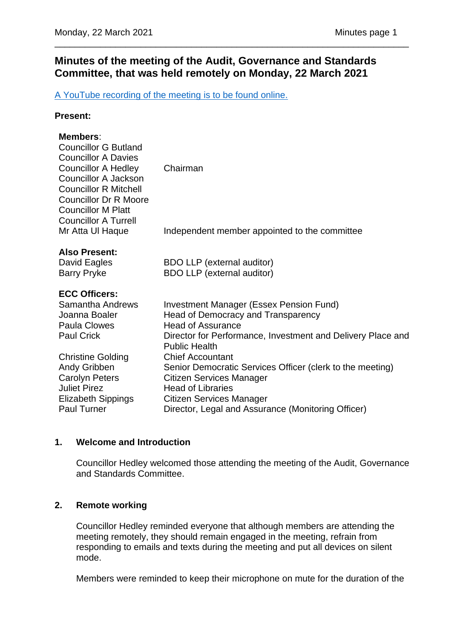# **Minutes of the meeting of the Audit, Governance and Standards Committee, that was held remotely on Monday, 22 March 2021**

\_\_\_\_\_\_\_\_\_\_\_\_\_\_\_\_\_\_\_\_\_\_\_\_\_\_\_\_\_\_\_\_\_\_\_\_\_\_\_\_\_\_\_\_\_\_\_\_\_\_\_\_\_\_\_\_\_\_\_\_\_\_\_\_\_\_\_\_\_\_

[A YouTube recording of the meeting is to be found online.](https://www.youtube.com/channel/UCOOP9vKq82ogpyG1gtCnyHQ?view_as=subscriber)

## **Present:**

## **Members**:

| <b>Councillor G Butland</b><br><b>Councillor A Davies</b><br><b>Councillor A Hedley</b><br>Councillor A Jackson<br><b>Councillor R Mitchell</b><br><b>Councillor Dr R Moore</b><br><b>Councillor M Platt</b><br><b>Councillor A Turrell</b> | Chairman                                                                                                                                                                                                                       |
|---------------------------------------------------------------------------------------------------------------------------------------------------------------------------------------------------------------------------------------------|--------------------------------------------------------------------------------------------------------------------------------------------------------------------------------------------------------------------------------|
| Mr Atta UI Haque                                                                                                                                                                                                                            | Independent member appointed to the committee                                                                                                                                                                                  |
| <b>Also Present:</b><br>David Eagles<br><b>Barry Pryke</b>                                                                                                                                                                                  | <b>BDO LLP</b> (external auditor)<br><b>BDO LLP</b> (external auditor)                                                                                                                                                         |
| <b>ECC Officers:</b><br><b>Samantha Andrews</b><br>Joanna Boaler<br><b>Paula Clowes</b><br><b>Paul Crick</b>                                                                                                                                | <b>Investment Manager (Essex Pension Fund)</b><br>Head of Democracy and Transparency<br><b>Head of Assurance</b><br>Director for Performance, Investment and Delivery Place and<br><b>Public Health</b>                        |
| <b>Christine Golding</b><br>Andy Gribben<br><b>Carolyn Peters</b><br><b>Juliet Pirez</b><br><b>Elizabeth Sippings</b><br><b>Paul Turner</b>                                                                                                 | <b>Chief Accountant</b><br>Senior Democratic Services Officer (clerk to the meeting)<br>Citizen Services Manager<br><b>Head of Libraries</b><br>Citizen Services Manager<br>Director, Legal and Assurance (Monitoring Officer) |

## **1. Welcome and Introduction**

Councillor Hedley welcomed those attending the meeting of the Audit, Governance and Standards Committee.

## **2. Remote working**

Councillor Hedley reminded everyone that although members are attending the meeting remotely, they should remain engaged in the meeting, refrain from responding to emails and texts during the meeting and put all devices on silent mode.

Members were reminded to keep their microphone on mute for the duration of the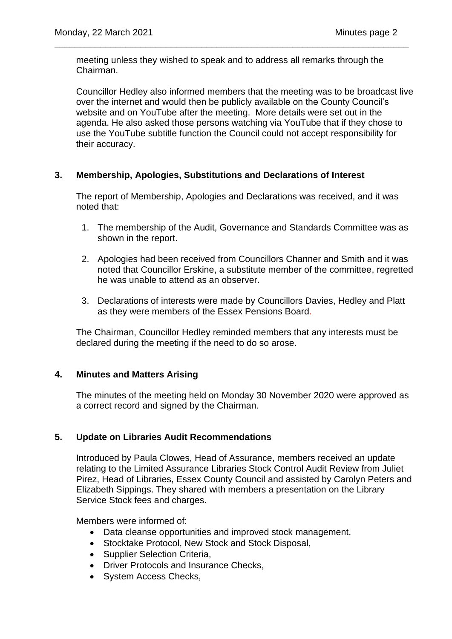meeting unless they wished to speak and to address all remarks through the Chairman.

\_\_\_\_\_\_\_\_\_\_\_\_\_\_\_\_\_\_\_\_\_\_\_\_\_\_\_\_\_\_\_\_\_\_\_\_\_\_\_\_\_\_\_\_\_\_\_\_\_\_\_\_\_\_\_\_\_\_\_\_\_\_\_\_\_\_\_\_\_\_

Councillor Hedley also informed members that the meeting was to be broadcast live over the internet and would then be publicly available on the County Council's website and on YouTube after the meeting. More details were set out in the agenda. He also asked those persons watching via YouTube that if they chose to use the YouTube subtitle function the Council could not accept responsibility for their accuracy.

## **3. Membership, Apologies, Substitutions and Declarations of Interest**

The report of Membership, Apologies and Declarations was received, and it was noted that:

- 1. The membership of the Audit, Governance and Standards Committee was as shown in the report.
- 2. Apologies had been received from Councillors Channer and Smith and it was noted that Councillor Erskine, a substitute member of the committee, regretted he was unable to attend as an observer.
- 3. Declarations of interests were made by Councillors Davies, Hedley and Platt as they were members of the Essex Pensions Board.

The Chairman, Councillor Hedley reminded members that any interests must be declared during the meeting if the need to do so arose.

## **4. Minutes and Matters Arising**

The minutes of the meeting held on Monday 30 November 2020 were approved as a correct record and signed by the Chairman.

## **5. Update on Libraries Audit Recommendations**

Introduced by Paula Clowes, Head of Assurance, members received an update relating to the Limited Assurance Libraries Stock Control Audit Review from Juliet Pirez, Head of Libraries, Essex County Council and assisted by Carolyn Peters and Elizabeth Sippings. They shared with members a presentation on the Library Service Stock fees and charges.

Members were informed of:

- Data cleanse opportunities and improved stock management,
- Stocktake Protocol, New Stock and Stock Disposal,
- Supplier Selection Criteria,
- Driver Protocols and Insurance Checks,
- System Access Checks,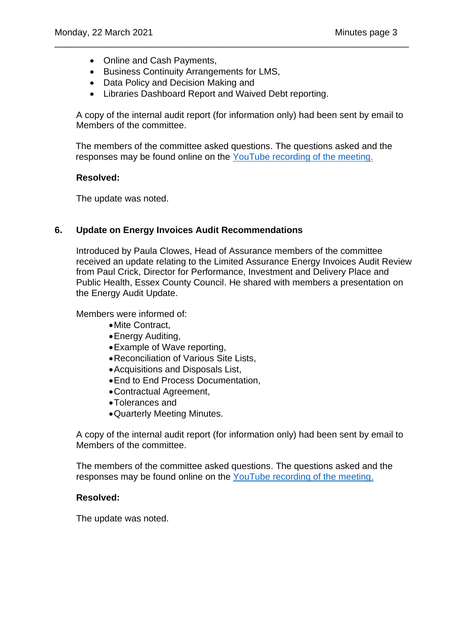- Online and Cash Payments,
- Business Continuity Arrangements for LMS,
- Data Policy and Decision Making and
- Libraries Dashboard Report and Waived Debt reporting.

A copy of the internal audit report (for information only) had been sent by email to Members of the committee.

\_\_\_\_\_\_\_\_\_\_\_\_\_\_\_\_\_\_\_\_\_\_\_\_\_\_\_\_\_\_\_\_\_\_\_\_\_\_\_\_\_\_\_\_\_\_\_\_\_\_\_\_\_\_\_\_\_\_\_\_\_\_\_\_\_\_\_\_\_\_

The members of the committee asked questions. The questions asked and the responses may be found online on the [YouTube recording of the meeting.](https://www.youtube.com/channel/UCOOP9vKq82ogpyG1gtCnyHQ?view_as=subscriber)

### **Resolved:**

The update was noted.

## **6. Update on Energy Invoices Audit Recommendations**

Introduced by Paula Clowes, Head of Assurance members of the committee received an update relating to the Limited Assurance Energy Invoices Audit Review from Paul Crick, Director for Performance, Investment and Delivery Place and Public Health, Essex County Council. He shared with members a presentation on the Energy Audit Update.

Members were informed of:

- •Mite Contract,
- •Energy Auditing,
- •Example of Wave reporting,
- •Reconciliation of Various Site Lists,
- •Acquisitions and Disposals List,
- •End to End Process Documentation,
- •Contractual Agreement,
- •Tolerances and
- •Quarterly Meeting Minutes.

A copy of the internal audit report (for information only) had been sent by email to Members of the committee.

The members of the committee asked questions. The questions asked and the responses may be found online on the [YouTube recording of the meeting.](https://www.youtube.com/channel/UCOOP9vKq82ogpyG1gtCnyHQ?view_as=subscriber)

#### **Resolved:**

The update was noted.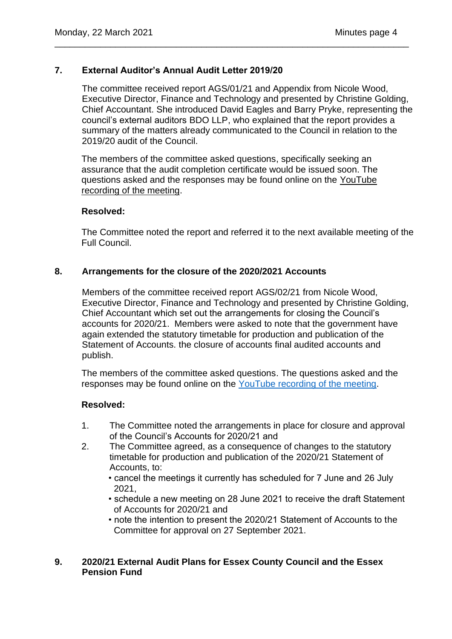## **7. External Auditor's Annual Audit Letter 2019/20**

The committee received report AGS/01/21 and Appendix from Nicole Wood, Executive Director, Finance and Technology and presented by Christine Golding, Chief Accountant. She introduced David Eagles and Barry Pryke, representing the council's external auditors BDO LLP, who explained that the report provides a summary of the matters already communicated to the Council in relation to the 2019/20 audit of the Council.

The members of the committee asked questions, specifically seeking an assurance that the audit completion certificate would be issued soon. The questions asked and the responses may be found online on the [YouTube](https://www.youtube.com/watch?v=ImkkR1-dG18)  [recording of the meeting.](https://www.youtube.com/watch?v=ImkkR1-dG18)

\_\_\_\_\_\_\_\_\_\_\_\_\_\_\_\_\_\_\_\_\_\_\_\_\_\_\_\_\_\_\_\_\_\_\_\_\_\_\_\_\_\_\_\_\_\_\_\_\_\_\_\_\_\_\_\_\_\_\_\_\_\_\_\_\_\_\_\_\_\_

### **Resolved:**

The Committee noted the report and referred it to the next available meeting of the Full Council.

## **8. Arrangements for the closure of the 2020/2021 Accounts**

Members of the committee received report AGS/02/21 from Nicole Wood, Executive Director, Finance and Technology and presented by Christine Golding, Chief Accountant which set out the arrangements for closing the Council's accounts for 2020/21. Members were asked to note that the government have again extended the statutory timetable for production and publication of the Statement of Accounts. the closure of accounts final audited accounts and publish.

The members of the committee asked questions. The questions asked and the responses may be found online on the [YouTube recording of the meeting.](https://www.youtube.com/channel/UCOOP9vKq82ogpyG1gtCnyHQ?view_as=subscriber)

## **Resolved:**

- 1. The Committee noted the arrangements in place for closure and approval of the Council's Accounts for 2020/21 and
- 2. The Committee agreed, as a consequence of changes to the statutory timetable for production and publication of the 2020/21 Statement of Accounts, to:
	- cancel the meetings it currently has scheduled for 7 June and 26 July 2021,
	- schedule a new meeting on 28 June 2021 to receive the draft Statement of Accounts for 2020/21 and
	- note the intention to present the 2020/21 Statement of Accounts to the Committee for approval on 27 September 2021.

## **9. 2020/21 External Audit Plans for Essex County Council and the Essex Pension Fund**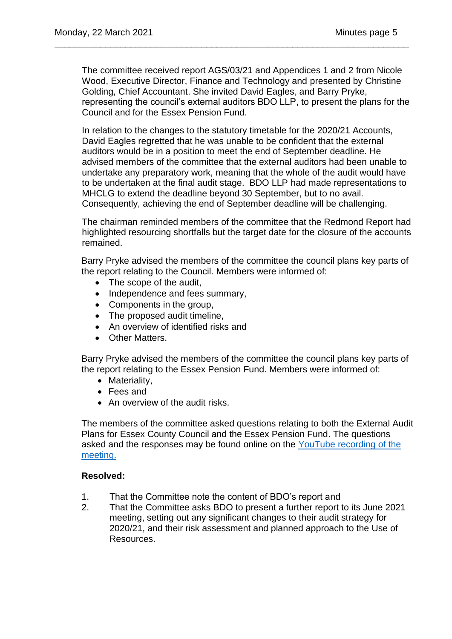The committee received report AGS/03/21 and Appendices 1 and 2 from Nicole Wood, Executive Director, Finance and Technology and presented by Christine Golding, Chief Accountant. She invited David Eagles, and Barry Pryke, representing the council's external auditors BDO LLP, to present the plans for the Council and for the Essex Pension Fund.

\_\_\_\_\_\_\_\_\_\_\_\_\_\_\_\_\_\_\_\_\_\_\_\_\_\_\_\_\_\_\_\_\_\_\_\_\_\_\_\_\_\_\_\_\_\_\_\_\_\_\_\_\_\_\_\_\_\_\_\_\_\_\_\_\_\_\_\_\_\_

In relation to the changes to the statutory timetable for the 2020/21 Accounts, David Eagles regretted that he was unable to be confident that the external auditors would be in a position to meet the end of September deadline. He advised members of the committee that the external auditors had been unable to undertake any preparatory work, meaning that the whole of the audit would have to be undertaken at the final audit stage. BDO LLP had made representations to MHCLG to extend the deadline beyond 30 September, but to no avail. Consequently, achieving the end of September deadline will be challenging.

The chairman reminded members of the committee that the Redmond Report had highlighted resourcing shortfalls but the target date for the closure of the accounts remained.

Barry Pryke advised the members of the committee the council plans key parts of the report relating to the Council. Members were informed of:

- The scope of the audit,
- Independence and fees summary,
- Components in the group,
- The proposed audit timeline.
- An overview of identified risks and
- Other Matters.

Barry Pryke advised the members of the committee the council plans key parts of the report relating to the Essex Pension Fund. Members were informed of:

- Materiality,
- Fees and
- An overview of the audit risks.

The members of the committee asked questions relating to both the External Audit Plans for Essex County Council and the Essex Pension Fund. The questions asked and the responses may be found online on the [YouTube recording of the](https://www.youtube.com/channel/UCOOP9vKq82ogpyG1gtCnyHQ?view_as=subscriber)  [meeting.](https://www.youtube.com/channel/UCOOP9vKq82ogpyG1gtCnyHQ?view_as=subscriber)

## **Resolved:**

- 1. That the Committee note the content of BDO's report and
- 2. That the Committee asks BDO to present a further report to its June 2021 meeting, setting out any significant changes to their audit strategy for 2020/21, and their risk assessment and planned approach to the Use of Resources.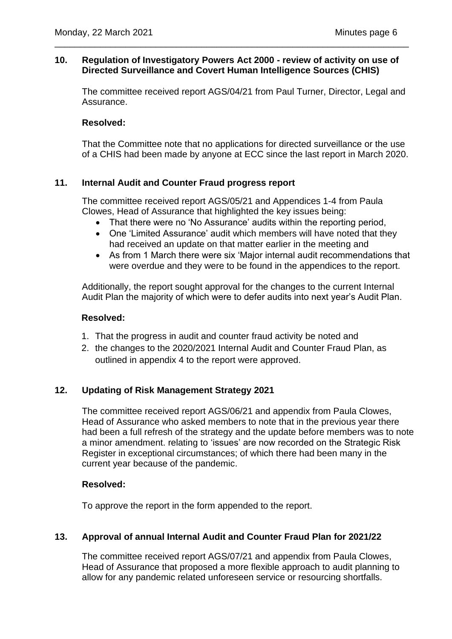## **10. Regulation of Investigatory Powers Act 2000 - review of activity on use of Directed Surveillance and Covert Human Intelligence Sources (CHIS)**

\_\_\_\_\_\_\_\_\_\_\_\_\_\_\_\_\_\_\_\_\_\_\_\_\_\_\_\_\_\_\_\_\_\_\_\_\_\_\_\_\_\_\_\_\_\_\_\_\_\_\_\_\_\_\_\_\_\_\_\_\_\_\_\_\_\_\_\_\_\_

The committee received report AGS/04/21 from Paul Turner, Director, Legal and Assurance.

## **Resolved:**

That the Committee note that no applications for directed surveillance or the use of a CHIS had been made by anyone at ECC since the last report in March 2020.

## **11. Internal Audit and Counter Fraud progress report**

The committee received report AGS/05/21 and Appendices 1-4 from Paula Clowes, Head of Assurance that highlighted the key issues being:

- That there were no 'No Assurance' audits within the reporting period,
- One 'Limited Assurance' audit which members will have noted that they had received an update on that matter earlier in the meeting and
- As from 1 March there were six 'Major internal audit recommendations that were overdue and they were to be found in the appendices to the report.

Additionally, the report sought approval for the changes to the current Internal Audit Plan the majority of which were to defer audits into next year's Audit Plan.

## **Resolved:**

- 1. That the progress in audit and counter fraud activity be noted and
- 2. the changes to the 2020/2021 Internal Audit and Counter Fraud Plan, as outlined in appendix 4 to the report were approved.

## **12. Updating of Risk Management Strategy 2021**

The committee received report AGS/06/21 and appendix from Paula Clowes, Head of Assurance who asked members to note that in the previous year there had been a full refresh of the strategy and the update before members was to note a minor amendment. relating to 'issues' are now recorded on the Strategic Risk Register in exceptional circumstances; of which there had been many in the current year because of the pandemic.

## **Resolved:**

To approve the report in the form appended to the report.

## **13. Approval of annual Internal Audit and Counter Fraud Plan for 2021/22**

The committee received report AGS/07/21 and appendix from Paula Clowes, Head of Assurance that proposed a more flexible approach to audit planning to allow for any pandemic related unforeseen service or resourcing shortfalls.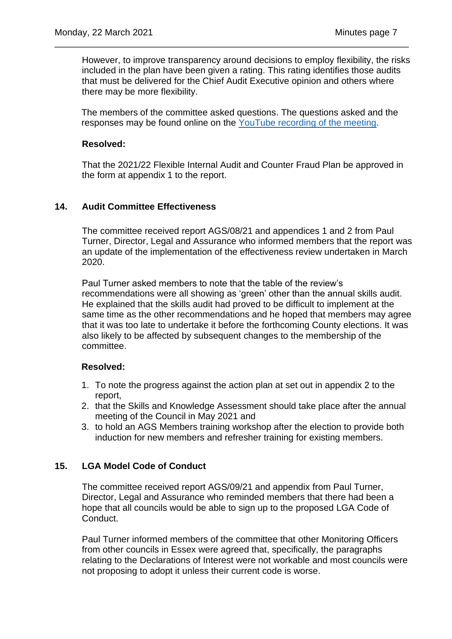However, to improve transparency around decisions to employ flexibility, the risks included in the plan have been given a rating. This rating identifies those audits that must be delivered for the Chief Audit Executive opinion and others where there may be more flexibility.

\_\_\_\_\_\_\_\_\_\_\_\_\_\_\_\_\_\_\_\_\_\_\_\_\_\_\_\_\_\_\_\_\_\_\_\_\_\_\_\_\_\_\_\_\_\_\_\_\_\_\_\_\_\_\_\_\_\_\_\_\_\_\_\_\_\_\_\_\_\_

The members of the committee asked questions. The questions asked and the responses may be found online on the [YouTube recording of the meeting.](https://www.youtube.com/channel/UCOOP9vKq82ogpyG1gtCnyHQ?view_as=subscriber)

### **Resolved:**

That the 2021/22 Flexible Internal Audit and Counter Fraud Plan be approved in the form at appendix 1 to the report.

## **14. Audit Committee Effectiveness**

The committee received report AGS/08/21 and appendices 1 and 2 from Paul Turner, Director, Legal and Assurance who informed members that the report was an update of the implementation of the effectiveness review undertaken in March 2020.

Paul Turner asked members to note that the table of the review's recommendations were all showing as 'green' other than the annual skills audit. He explained that the skills audit had proved to be difficult to implement at the same time as the other recommendations and he hoped that members may agree that it was too late to undertake it before the forthcoming County elections. It was also likely to be affected by subsequent changes to the membership of the committee.

#### **Resolved:**

- 1. To note the progress against the action plan at set out in appendix 2 to the report,
- 2. that the Skills and Knowledge Assessment should take place after the annual meeting of the Council in May 2021 and
- 3. to hold an AGS Members training workshop after the election to provide both induction for new members and refresher training for existing members.

## **15. LGA Model Code of Conduct**

The committee received report AGS/09/21 and appendix from Paul Turner, Director, Legal and Assurance who reminded members that there had been a hope that all councils would be able to sign up to the proposed LGA Code of Conduct.

Paul Turner informed members of the committee that other Monitoring Officers from other councils in Essex were agreed that, specifically, the paragraphs relating to the Declarations of Interest were not workable and most councils were not proposing to adopt it unless their current code is worse.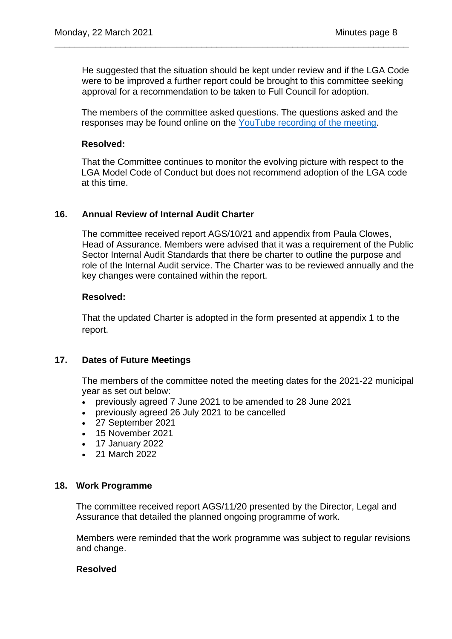He suggested that the situation should be kept under review and if the LGA Code were to be improved a further report could be brought to this committee seeking approval for a recommendation to be taken to Full Council for adoption.

\_\_\_\_\_\_\_\_\_\_\_\_\_\_\_\_\_\_\_\_\_\_\_\_\_\_\_\_\_\_\_\_\_\_\_\_\_\_\_\_\_\_\_\_\_\_\_\_\_\_\_\_\_\_\_\_\_\_\_\_\_\_\_\_\_\_\_\_\_\_

The members of the committee asked questions. The questions asked and the responses may be found online on the [YouTube recording of the meeting.](https://www.youtube.com/channel/UCOOP9vKq82ogpyG1gtCnyHQ?view_as=subscriber)

### **Resolved:**

That the Committee continues to monitor the evolving picture with respect to the LGA Model Code of Conduct but does not recommend adoption of the LGA code at this time.

### **16. Annual Review of Internal Audit Charter**

The committee received report AGS/10/21 and appendix from Paula Clowes, Head of Assurance. Members were advised that it was a requirement of the Public Sector Internal Audit Standards that there be charter to outline the purpose and role of the Internal Audit service. The Charter was to be reviewed annually and the key changes were contained within the report.

### **Resolved:**

That the updated Charter is adopted in the form presented at appendix 1 to the report.

## **17. Dates of Future Meetings**

The members of the committee noted the meeting dates for the 2021-22 municipal year as set out below:

- previously agreed 7 June 2021 to be amended to 28 June 2021
- previously agreed 26 July 2021 to be cancelled
- 27 September 2021
- 15 November 2021
- 17 January 2022
- 21 March 2022

#### **18. Work Programme**

The committee received report AGS/11/20 presented by the Director, Legal and Assurance that detailed the planned ongoing programme of work.

Members were reminded that the work programme was subject to regular revisions and change.

#### **Resolved**